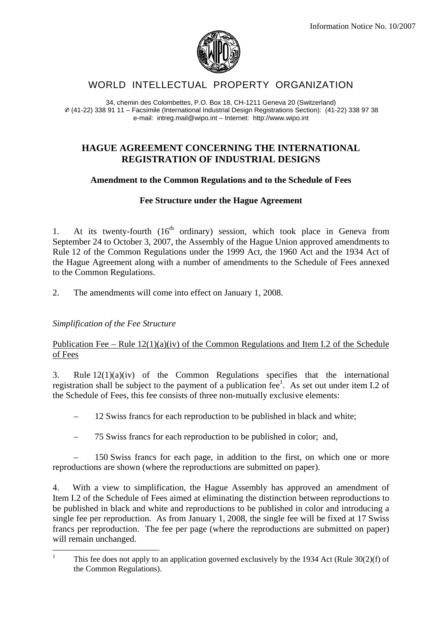

# WORLD INTELLECTUAL PROPERTY ORGANIZATION

34, chemin des Colombettes, P.O. Box 18, CH-1211 Geneva 20 (Switzerland)  $\varnothing$  (41-22) 338 91 11 – Facsimile (International Industrial Design Registrations Section): (41-22) 338 97 38 e-mail: intreg.mail@wipo.int – Internet: http://www.wipo.int

### **HAGUE AGREEMENT CONCERNING THE INTERNATIONAL REGISTRATION OF INDUSTRIAL DESIGNS**

### **Amendment to the Common Regulations and to the Schedule of Fees**

### **Fee Structure under the Hague Agreement**

1. At its twenty-fourth  $(16<sup>th</sup>$  ordinary) session, which took place in Geneva from September 24 to October 3, 2007, the Assembly of the Hague Union approved amendments to Rule 12 of the Common Regulations under the 1999 Act, the 1960 Act and the 1934 Act of the Hague Agreement along with a number of amendments to the Schedule of Fees annexed to the Common Regulations.

2. The amendments will come into effect on January 1, 2008.

## *Simplification of the Fee Structure*

### Publication Fee – Rule  $12(1)(a)(iv)$  of the Common Regulations and Item I.2 of the Schedule of Fees

3. Rule 12(1)(a)(iv) of the Common Regulations specifies that the international registration shall be subject to the payment of a publication  $\text{fee}^1$ . As set out under item I.2 of the Schedule of Fees, this fee consists of three non-mutually exclusive elements:

– 12 Swiss francs for each reproduction to be published in black and white;

– 75 Swiss francs for each reproduction to be published in color; and,

– 150 Swiss francs for each page, in addition to the first, on which one or more reproductions are shown (where the reproductions are submitted on paper).

4. With a view to simplification, the Hague Assembly has approved an amendment of Item I.2 of the Schedule of Fees aimed at eliminating the distinction between reproductions to be published in black and white and reproductions to be published in color and introducing a single fee per reproduction. As from January 1, 2008, the single fee will be fixed at 17 Swiss francs per reproduction. The fee per page (where the reproductions are submitted on paper) will remain unchanged.

 $\frac{1}{1}$  This fee does not apply to an application governed exclusively by the 1934 Act (Rule 30(2)(f) of the Common Regulations).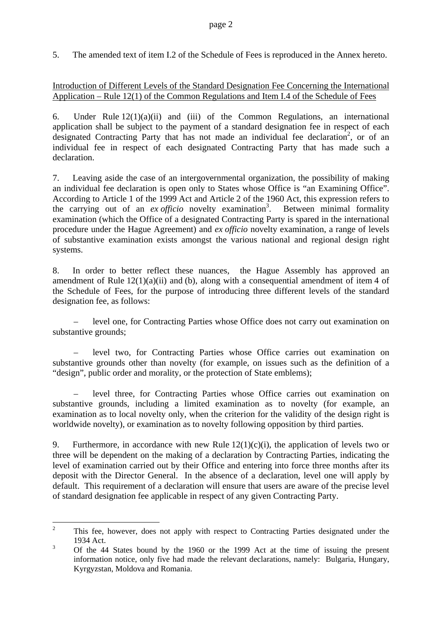5. The amended text of item I.2 of the Schedule of Fees is reproduced in the Annex hereto.

## Introduction of Different Levels of the Standard Designation Fee Concerning the International Application – Rule 12(1) of the Common Regulations and Item I.4 of the Schedule of Fees

6. Under Rule  $12(1)(a)(ii)$  and (iii) of the Common Regulations, an international application shall be subject to the payment of a standard designation fee in respect of each designated Contracting Party that has not made an individual fee declaration<sup>2</sup>, or of an individual fee in respect of each designated Contracting Party that has made such a declaration.

7. Leaving aside the case of an intergovernmental organization, the possibility of making an individual fee declaration is open only to States whose Office is "an Examining Office". According to Article 1 of the 1999 Act and Article 2 of the 1960 Act, this expression refers to the carrying out of an  $ex$  *officio* novelty examination<sup>3</sup>. . Between minimal formality examination (which the Office of a designated Contracting Party is spared in the international procedure under the Hague Agreement) and *ex officio* novelty examination, a range of levels of substantive examination exists amongst the various national and regional design right systems.

8. In order to better reflect these nuances, the Hague Assembly has approved an amendment of Rule  $12(1)(a)(ii)$  and (b), along with a consequential amendment of item 4 of the Schedule of Fees, for the purpose of introducing three different levels of the standard designation fee, as follows:

– level one, for Contracting Parties whose Office does not carry out examination on substantive grounds;

– level two, for Contracting Parties whose Office carries out examination on substantive grounds other than novelty (for example, on issues such as the definition of a "design", public order and morality, or the protection of State emblems);

– level three, for Contracting Parties whose Office carries out examination on substantive grounds, including a limited examination as to novelty (for example, an examination as to local novelty only, when the criterion for the validity of the design right is worldwide novelty), or examination as to novelty following opposition by third parties.

9. Furthermore, in accordance with new Rule  $12(1)(c)(i)$ , the application of levels two or three will be dependent on the making of a declaration by Contracting Parties, indicating the level of examination carried out by their Office and entering into force three months after its deposit with the Director General. In the absence of a declaration, level one will apply by default. This requirement of a declaration will ensure that users are aware of the precise level of standard designation fee applicable in respect of any given Contracting Party.

 $\frac{1}{2}$  This fee, however, does not apply with respect to Contracting Parties designated under the 1934 Act.

<sup>3</sup> Of the 44 States bound by the 1960 or the 1999 Act at the time of issuing the present information notice, only five had made the relevant declarations, namely: Bulgaria, Hungary, Kyrgyzstan, Moldova and Romania.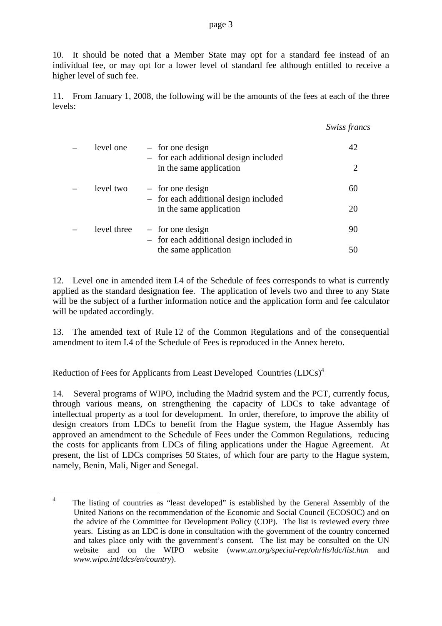10. It should be noted that a Member State may opt for a standard fee instead of an individual fee, or may opt for a lower level of standard fee although entitled to receive a higher level of such fee.

11. From January 1, 2008, the following will be the amounts of the fees at each of the three levels:

|             |                                                                  | Swiss francs |
|-------------|------------------------------------------------------------------|--------------|
| level one   | $-$ for one design<br>- for each additional design included      | 42           |
|             | in the same application                                          | 2            |
| level two   | $-$ for one design                                               | 60           |
|             | - for each additional design included<br>in the same application | 20           |
| level three | $-$ for one design                                               | 90           |
|             | - for each additional design included in<br>the same application | 50           |

12. Level one in amended item I.4 of the Schedule of fees corresponds to what is currently applied as the standard designation fee. The application of levels two and three to any State will be the subject of a further information notice and the application form and fee calculator will be updated accordingly.

13. The amended text of Rule 12 of the Common Regulations and of the consequential amendment to item I.4 of the Schedule of Fees is reproduced in the Annex hereto.

# Reduction of Fees for Applicants from Least Developed Countries (LDCs)<sup>4</sup>

14. Several programs of WIPO, including the Madrid system and the PCT, currently focus, through various means, on strengthening the capacity of LDCs to take advantage of intellectual property as a tool for development. In order, therefore, to improve the ability of design creators from LDCs to benefit from the Hague system, the Hague Assembly has approved an amendment to the Schedule of Fees under the Common Regulations, reducing the costs for applicants from LDCs of filing applications under the Hague Agreement. At present, the list of LDCs comprises 50 States, of which four are party to the Hague system, namely, Benin, Mali, Niger and Senegal.

 $\overline{4}$ <sup>4</sup> The listing of countries as "least developed" is established by the General Assembly of the United Nations on the recommendation of the Economic and Social Council (ECOSOC) and on the advice of the Committee for Development Policy (CDP). The list is reviewed every three years. Listing as an LDC is done in consultation with the government of the country concerned and takes place only with the government's consent. The list may be consulted on the UN website and on the WIPO website (*www.un.org/special-rep/ohrlls/ldc/list.htm* and *www.wipo.int/ldcs/en/country*).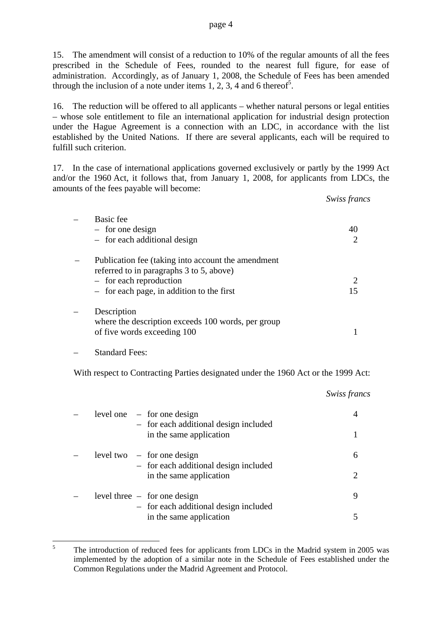15. The amendment will consist of a reduction to 10% of the regular amounts of all the fees prescribed in the Schedule of Fees, rounded to the nearest full figure, for ease of administration. Accordingly, as of January 1, 2008, the Schedule of Fees has been amended through the inclusion of a note under items 1, 2, 3, 4 and 6 thereof<sup>5</sup>.

16. The reduction will be offered to all applicants – whether natural persons or legal entities – whose sole entitlement to file an international application for industrial design protection under the Hague Agreement is a connection with an LDC, in accordance with the list established by the United Nations. If there are several applicants, each will be required to fulfill such criterion.

17. In the case of international applications governed exclusively or partly by the 1999 Act and/or the 1960 Act, it follows that, from January 1, 2008, for applicants from LDCs, the amounts of the fees payable will become:

|                                                                                                | Swiss francs |
|------------------------------------------------------------------------------------------------|--------------|
| Basic fee                                                                                      |              |
| $-$ for one design                                                                             | 40           |
| $-$ for each additional design                                                                 |              |
| Publication fee (taking into account the amendment<br>referred to in paragraphs 3 to 5, above) |              |
| $-$ for each reproduction                                                                      |              |
| $-$ for each page, in addition to the first                                                    | 15           |
| Description                                                                                    |              |
| where the description exceeds 100 words, per group<br>of five words exceeding 100              |              |

#### – Standard Fees:

With respect to Contracting Parties designated under the 1960 Act or the 1999 Act:

*Swiss francs*   $level one - for one design$  4 – for each additional design included in the same application 1  $level two - for one design$  6 – for each additional design included in the same application 2  $level three - for one design$  9 – for each additional design included in the same application 5

 $\frac{1}{5}$  The introduction of reduced fees for applicants from LDCs in the Madrid system in 2005 was implemented by the adoption of a similar note in the Schedule of Fees established under the Common Regulations under the Madrid Agreement and Protocol.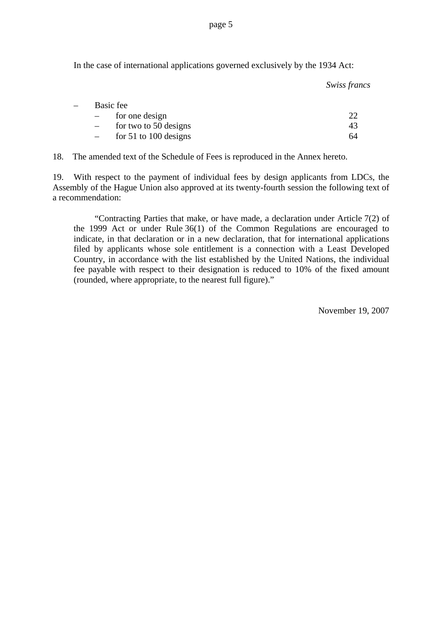page 5

In the case of international applications governed exclusively by the 1934 Act:

*Swiss francs* 

| $\equiv$ | Basic fee               |    |
|----------|-------------------------|----|
|          | for one design          |    |
|          | for two to 50 designs   | 43 |
|          | for $51$ to 100 designs | 64 |

18. The amended text of the Schedule of Fees is reproduced in the Annex hereto.

19. With respect to the payment of individual fees by design applicants from LDCs, the Assembly of the Hague Union also approved at its twenty-fourth session the following text of a recommendation:

"Contracting Parties that make, or have made, a declaration under Article 7(2) of the 1999 Act or under Rule 36(1) of the Common Regulations are encouraged to indicate, in that declaration or in a new declaration, that for international applications filed by applicants whose sole entitlement is a connection with a Least Developed Country, in accordance with the list established by the United Nations, the individual fee payable with respect to their designation is reduced to 10% of the fixed amount (rounded, where appropriate, to the nearest full figure)."

November 19, 2007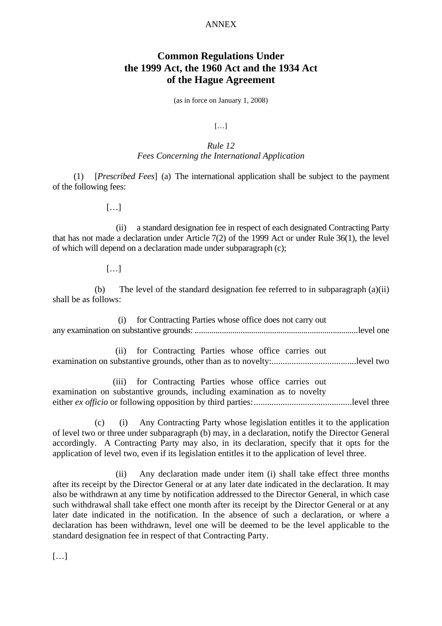#### ANNEX

# **Common Regulations Under the 1999 Act, the 1960 Act and the 1934 Act of the Hague Agreement**

(as in force on January 1, 2008)

 $[...]$ 

## *Rule 12 Fees Concerning the International Application*

(1) [*Prescribed Fees*] (a) The international application shall be subject to the payment of the following fees:

[…]

 (ii) a standard designation fee in respect of each designated Contracting Party that has not made a declaration under Article 7(2) of the 1999 Act or under Rule 36(1), the level of which will depend on a declaration made under subparagraph (c);

[…]

(b) The level of the standard designation fee referred to in subparagraph (a)(ii) shall be as follows:

(i) for Contracting Parties whose office does not carry out any examination on substantive grounds: ..............................................................................level one

(ii) for Contracting Parties whose office carries out examination on substantive grounds, other than as to novelty:......................................level two

(iii) for Contracting Parties whose office carries out examination on substantive grounds, including examination as to novelty either *ex officio* or following opposition by third parties:............................................level three

(c) (i) Any Contracting Party whose legislation entitles it to the application of level two or three under subparagraph (b) may, in a declaration, notify the Director General accordingly. A Contracting Party may also, in its declaration, specify that it opts for the application of level two, even if its legislation entitles it to the application of level three.

 (ii) Any declaration made under item (i) shall take effect three months after its receipt by the Director General or at any later date indicated in the declaration. It may also be withdrawn at any time by notification addressed to the Director General, in which case such withdrawal shall take effect one month after its receipt by the Director General or at any later date indicated in the notification. In the absence of such a declaration, or where a declaration has been withdrawn, level one will be deemed to be the level applicable to the standard designation fee in respect of that Contracting Party.

[…]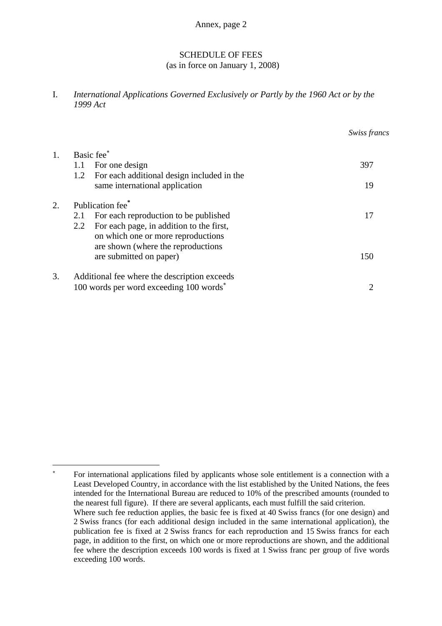Annex, page 2

## SCHEDULE OF FEES

(as in force on January 1, 2008)

I. *International Applications Governed Exclusively or Partly by the 1960 Act or by the 1999 Act* 

|                                                     | Swiss francs |
|-----------------------------------------------------|--------------|
| Basic fee*                                          |              |
| For one design<br>1.1                               | 397          |
| For each additional design included in the<br>1.2   |              |
| same international application                      | 19           |
| Publication fee <sup>*</sup>                        |              |
| For each reproduction to be published<br>2.1        | 17           |
| For each page, in addition to the first,<br>2.2     |              |
| on which one or more reproductions                  |              |
| are shown (where the reproductions                  |              |
| are submitted on paper)                             | 150          |
| Additional fee where the description exceeds        |              |
| 100 words per word exceeding 100 words <sup>*</sup> | 2            |
|                                                     |              |

1

<sup>∗</sup> For international applications filed by applicants whose sole entitlement is a connection with a Least Developed Country, in accordance with the list established by the United Nations, the fees intended for the International Bureau are reduced to 10% of the prescribed amounts (rounded to the nearest full figure). If there are several applicants, each must fulfill the said criterion. Where such fee reduction applies, the basic fee is fixed at 40 Swiss francs (for one design) and 2 Swiss francs (for each additional design included in the same international application), the publication fee is fixed at 2 Swiss francs for each reproduction and 15 Swiss francs for each page, in addition to the first, on which one or more reproductions are shown, and the additional fee where the description exceeds 100 words is fixed at 1 Swiss franc per group of five words exceeding 100 words.